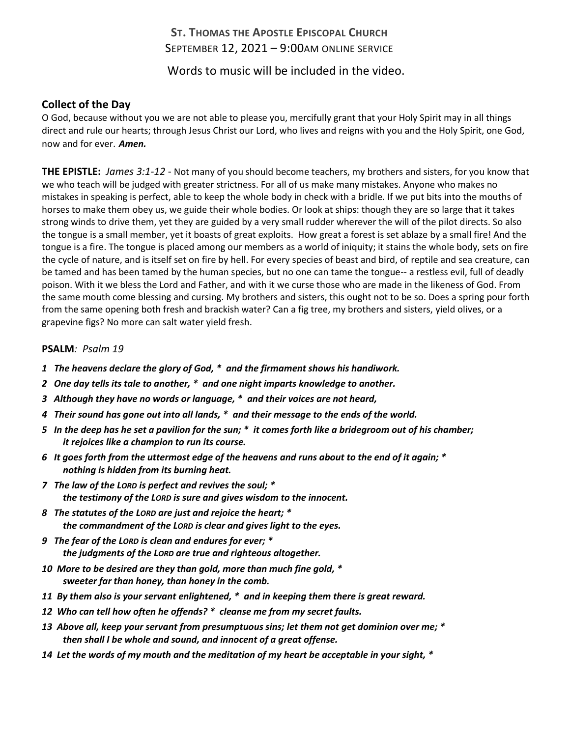## **ST. THOMAS THE APOSTLE EPISCOPAL CHURCH** SEPTEMBER 12, 2021 – 9:00AM ONLINE SERVICE

Words to music will be included in the video.

## **Collect of the Day**

O God, because without you we are not able to please you, mercifully grant that your Holy Spirit may in all things direct and rule our hearts; through Jesus Christ our Lord, who lives and reigns with you and the Holy Spirit, one God, now and for ever. *Amen.*

**THE EPISTLE:** *James 3:1-12* - Not many of you should become teachers, my brothers and sisters, for you know that we who teach will be judged with greater strictness. For all of us make many mistakes. Anyone who makes no mistakes in speaking is perfect, able to keep the whole body in check with a bridle. If we put bits into the mouths of horses to make them obey us, we guide their whole bodies. Or look at ships: though they are so large that it takes strong winds to drive them, yet they are guided by a very small rudder wherever the will of the pilot directs. So also the tongue is a small member, yet it boasts of great exploits. How great a forest is set ablaze by a small fire! And the tongue is a fire. The tongue is placed among our members as a world of iniquity; it stains the whole body, sets on fire the cycle of nature, and is itself set on fire by hell. For every species of beast and bird, of reptile and sea creature, can be tamed and has been tamed by the human species, but no one can tame the tongue-- a restless evil, full of deadly poison. With it we bless the Lord and Father, and with it we curse those who are made in the likeness of God. From the same mouth come blessing and cursing. My brothers and sisters, this ought not to be so. Does a spring pour forth from the same opening both fresh and brackish water? Can a fig tree, my brothers and sisters, yield olives, or a grapevine figs? No more can salt water yield fresh.

## **PSALM***: Psalm 19*

- *1 The heavens declare the glory of God, \* and the firmament shows his handiwork.*
- *2 One day tells its tale to another, \* and one night imparts knowledge to another.*
- *3 Although they have no words or language, \* and their voices are not heard,*
- *4 Their sound has gone out into all lands, \* and their message to the ends of the world.*
- *5 In the deep has he set a pavilion for the sun; \* it comes forth like a bridegroom out of his chamber; it rejoices like a champion to run its course.*
- *6 It goes forth from the uttermost edge of the heavens and runs about to the end of it again; \* nothing is hidden from its burning heat.*
- *7 The law of the LORD is perfect and revives the soul; \* the testimony of the LORD is sure and gives wisdom to the innocent.*
- *8 The statutes of the LORD are just and rejoice the heart; \* the commandment of the LORD is clear and gives light to the eyes.*
- *9 The fear of the LORD is clean and endures for ever; \* the judgments of the LORD are true and righteous altogether.*
- *10 More to be desired are they than gold, more than much fine gold, \* sweeter far than honey, than honey in the comb.*
- *11 By them also is your servant enlightened, \* and in keeping them there is great reward.*
- *12 Who can tell how often he offends? \* cleanse me from my secret faults.*
- *13 Above all, keep your servant from presumptuous sins; let them not get dominion over me; \* then shall I be whole and sound, and innocent of a great offense.*
- *14 Let the words of my mouth and the meditation of my heart be acceptable in your sight, \**